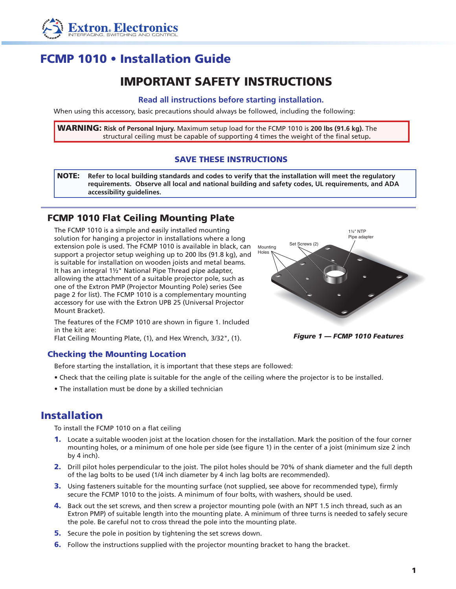

# FCMP 1010 • Installation Guide

## IMPORTANT SAFETY INSTRUCTIONS

#### **Read all instructions before starting installation.**

When using this accessory, basic precautions should always be followed, including the following:

WARNING: **Risk of Personal Injury.** Maximum setup load for the FCMP 1010 is **200 lbs (91.6 kg).** The structural ceiling must be capable of supporting 4 times the weight of the final setup**.**

### SAVE THESE INSTRUCTIONS

NOTE: **Refer to local building standards and codes to verify that the installation will meet the regulatory requirements. Observe all local and national building and safety codes, UL requirements, and ADA accessibility guidelines.**

## FCMP 1010 Flat Ceiling Mounting Plate

The FCMP 1010 is a simple and easily installed mounting solution for hanging a projector in installations where a long extension pole is used. The FCMP 1010 is available in black, can support a projector setup weighing up to 200 lbs (91.8 kg), and is suitable for installation on wooden joists and metal beams. It has an integral 1½" National Pipe Thread pipe adapter, allowing the attachment of a suitable projector pole, such as one of the Extron PMP (Projector Mounting Pole) series (See page 2 for list). The FCMP 1010 is a complementary mounting accessory for use with the Extron UPB 25 (Universal Projector Mount Bracket).



Checking the Mounting Location

Before starting the installation, it is important that these steps are followed:

- Check that the ceiling plate is suitable for the angle of the ceiling where the projector is to be installed.
- The installation must be done by a skilled technician

## Installation

To install the FCMP 1010 on a flat ceiling

- 1. Locate a suitable wooden joist at the location chosen for the installation. Mark the position of the four corner mounting holes, or a minimum of one hole per side (see figure 1) in the center of a joist (minimum size 2 inch by 4 inch).
- 2. Drill pilot holes perpendicular to the joist. The pilot holes should be 70% of shank diameter and the full depth of the lag bolts to be used (1/4 inch diameter by 4 inch lag bolts are recommended).
- 3. Using fasteners suitable for the mounting surface (not supplied, see above for recommended type), firmly secure the FCMP 1010 to the joists. A minimum of four bolts, with washers, should be used.
- 4. Back out the set screws, and then screw a projector mounting pole (with an NPT 1.5 inch thread, such as an Extron PMP) of suitable length into the mounting plate. A minimum of three turns is needed to safely secure the pole. Be careful not to cross thread the pole into the mounting plate.
- **5.** Secure the pole in position by tightening the set screws down.
- **6.** Follow the instructions supplied with the projector mounting bracket to hang the bracket.